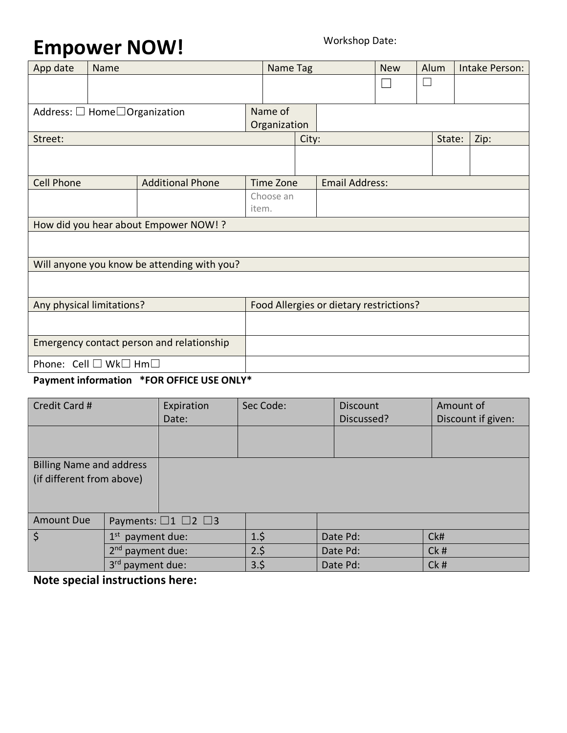## Empower NOW!

| App date                                          | Name |                                             | Name Tag                                |  | <b>New</b> | Alum |  | Intake Person: |  |
|---------------------------------------------------|------|---------------------------------------------|-----------------------------------------|--|------------|------|--|----------------|--|
|                                                   |      |                                             |                                         |  |            |      |  |                |  |
|                                                   |      |                                             |                                         |  |            |      |  |                |  |
| Address: $\Box$ Home $\Box$ Organization          |      |                                             | Name of                                 |  |            |      |  |                |  |
|                                                   |      | Organization                                |                                         |  |            |      |  |                |  |
| Street:                                           |      |                                             | City:                                   |  | State:     |      |  | Zip:           |  |
|                                                   |      |                                             |                                         |  |            |      |  |                |  |
|                                                   |      |                                             |                                         |  |            |      |  |                |  |
| <b>Cell Phone</b>                                 |      | <b>Additional Phone</b>                     | <b>Email Address:</b><br>Time Zone      |  |            |      |  |                |  |
|                                                   |      |                                             | Choose an                               |  |            |      |  |                |  |
|                                                   |      |                                             | item.                                   |  |            |      |  |                |  |
| How did you hear about Empower NOW! ?             |      |                                             |                                         |  |            |      |  |                |  |
|                                                   |      |                                             |                                         |  |            |      |  |                |  |
|                                                   |      | Will anyone you know be attending with you? |                                         |  |            |      |  |                |  |
|                                                   |      |                                             |                                         |  |            |      |  |                |  |
|                                                   |      |                                             |                                         |  |            |      |  |                |  |
| Any physical limitations?                         |      |                                             | Food Allergies or dietary restrictions? |  |            |      |  |                |  |
|                                                   |      |                                             |                                         |  |            |      |  |                |  |
|                                                   |      |                                             |                                         |  |            |      |  |                |  |
| Emergency contact person and relationship         |      |                                             |                                         |  |            |      |  |                |  |
| Phone: Cell □ Wk□ Hm□                             |      |                                             |                                         |  |            |      |  |                |  |
| <b>Dowmant information *EOD OCCICE LICE ONLY*</b> |      |                                             |                                         |  |            |      |  |                |  |

## **Payment information \*FOR OFFICE USE ONLY\***

| Credit Card #                   |                              | Expiration<br>Date:                  | Sec Code:       | <b>Discount</b><br>Discussed? | Amount of<br>Discount if given: |
|---------------------------------|------------------------------|--------------------------------------|-----------------|-------------------------------|---------------------------------|
|                                 |                              |                                      |                 |                               |                                 |
|                                 |                              |                                      |                 |                               |                                 |
| <b>Billing Name and address</b> |                              |                                      |                 |                               |                                 |
| (if different from above)       |                              |                                      |                 |                               |                                 |
|                                 |                              |                                      |                 |                               |                                 |
| <b>Amount Due</b>               |                              | Payments: $\Box$ 1 $\Box$ 2 $\Box$ 3 |                 |                               |                                 |
| $\dot{\mathsf{S}}$              | $1^{\rm st}$<br>payment due: |                                      | $1.\frac{2}{5}$ | Date Pd:                      | CkH                             |
|                                 | 2 <sup>nd</sup> payment due: |                                      | 2.5             | Date Pd:                      | Ck#                             |
|                                 | 3 <sup>rd</sup> payment due: |                                      | 3.5             | Date Pd:                      | Ck#                             |

**Note special instructions here:**